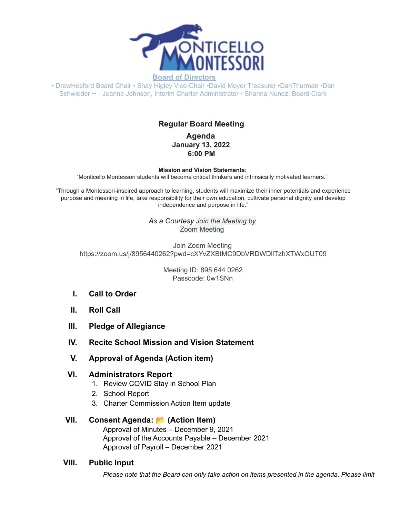

• DrewHosford Board Chair • Shay Higley Vice-Chair •David Meyer Treasurer •DanThurman •Dan Schwieder •• - Jeanne Johnson, Interim Charter Administrator • Shanna Nunez, Board Clerk

# **Regular Board Meeting**

**Agenda January 13, 2022 6:00 PM**

**Mission and Vision Statements:**

"Monticello Montessori students will become critical thinkers and intrinsically motivated learners."

"Through a Montessori-inspired approach to learning, students will maximize their inner potentials and experience purpose and meaning in life, take responsibility for their own education, cultivate personal dignity and develop independence and purpose in life."

> *As a Courtesy Join the Meeting by* Zoom Meeting

Join Zoom Meeting https://zoom.us/j/8956440262?pwd=cXYvZXBtMC9DbVRDWDllTzhXTWxOUT09

> Meeting ID: 895 644 0262 Passcode: 0w1SNn

- **I. Call to Order**
- **II. Roll Call**
- **III. Pledge of Allegiance**
- **IV. Recite School Mission and Vision Statement**
- **V. Approval of Agenda (Action item)**
- **VI. Administrators Report**
	- 1. Review COVID Stay in School Plan
	- 2. School Report
	- 3. Charter Commission Action Item update

#### **VII. Consent Agenda: (Action Item)**

Approval of Minutes – December 9, 2021 Approval of the Accounts Payable – December 2021 Approval of Payroll – December 2021

#### **VIII. Public Input**

*Please note that the Board can only take action on items presented in the agenda. Please limit*